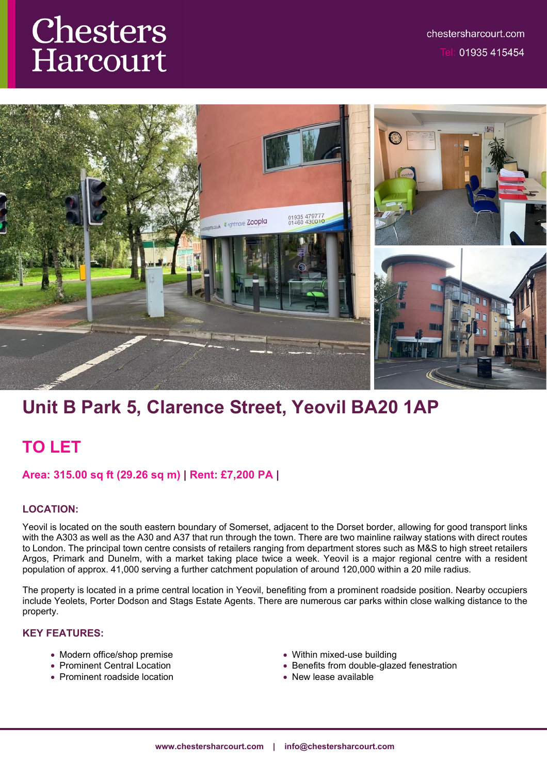# Chesters Harcourt



# **Unit B Park 5, Clarence Street, Yeovil BA20 1AP**

## **TO LET**

#### **Area: 315.00 sq ft (29.26 sq m) | Rent: £7,200 PA |**

#### **LOCATION:**

Yeovil is located on the south eastern boundary of Somerset, adjacent to the Dorset border, allowing for good transport links with the A303 as well as the A30 and A37 that run through the town. There are two mainline railway stations with direct routes to London. The principal town centre consists of retailers ranging from department stores such as M&S to high street retailers Argos, Primark and Dunelm, with a market taking place twice a week. Yeovil is a major regional centre with a resident population of approx. 41,000 serving a further catchment population of around 120,000 within a 20 mile radius.

The property is located in a prime central location in Yeovil, benefiting from a prominent roadside position. Nearby occupiers include Yeolets, Porter Dodson and Stags Estate Agents. There are numerous car parks within close walking distance to the property.

#### **KEY FEATURES:**

- Modern office/shop premise
- Prominent Central Location
- Prominent roadside location
- Within mixed-use building
- Benefits from double-glazed fenestration
- New lease available